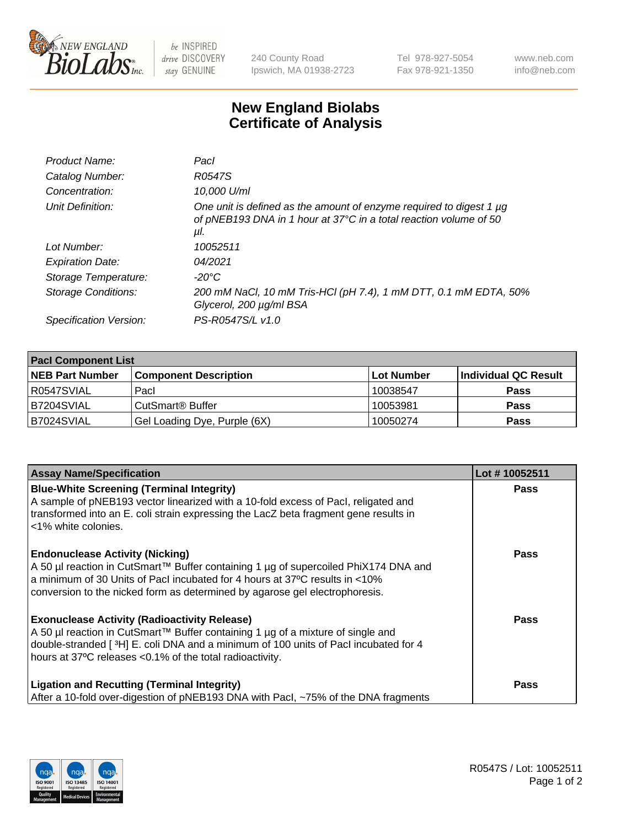

 $be$  INSPIRED drive DISCOVERY stay GENUINE

240 County Road Ipswich, MA 01938-2723 Tel 978-927-5054 Fax 978-921-1350 www.neb.com info@neb.com

## **New England Biolabs Certificate of Analysis**

| Product Name:              | Pacl                                                                                                                                            |
|----------------------------|-------------------------------------------------------------------------------------------------------------------------------------------------|
| Catalog Number:            | R0547S                                                                                                                                          |
| Concentration:             | 10,000 U/ml                                                                                                                                     |
| Unit Definition:           | One unit is defined as the amount of enzyme required to digest 1 µg<br>of pNEB193 DNA in 1 hour at 37°C in a total reaction volume of 50<br>μl. |
| Lot Number:                | 10052511                                                                                                                                        |
| <b>Expiration Date:</b>    | 04/2021                                                                                                                                         |
| Storage Temperature:       | $-20^{\circ}$ C                                                                                                                                 |
| <b>Storage Conditions:</b> | 200 mM NaCl, 10 mM Tris-HCl (pH 7.4), 1 mM DTT, 0.1 mM EDTA, 50%<br>Glycerol, 200 µg/ml BSA                                                     |
| Specification Version:     | PS-R0547S/L v1.0                                                                                                                                |

| <b>Pacl Component List</b> |                              |                   |                      |  |  |
|----------------------------|------------------------------|-------------------|----------------------|--|--|
| <b>NEB Part Number</b>     | <b>Component Description</b> | <b>Lot Number</b> | Individual QC Result |  |  |
| R0547SVIAL                 | Pacl                         | 10038547          | <b>Pass</b>          |  |  |
| B7204SVIAL                 | l CutSmart® Buffer           | 10053981          | <b>Pass</b>          |  |  |
| IB7024SVIAL                | Gel Loading Dye, Purple (6X) | 10050274          | <b>Pass</b>          |  |  |

| <b>Assay Name/Specification</b>                                                                                                                                        | Lot #10052511 |
|------------------------------------------------------------------------------------------------------------------------------------------------------------------------|---------------|
| <b>Blue-White Screening (Terminal Integrity)</b><br>A sample of pNEB193 vector linearized with a 10-fold excess of Pacl, religated and                                 | <b>Pass</b>   |
| transformed into an E. coli strain expressing the LacZ beta fragment gene results in<br><1% white colonies.                                                            |               |
| <b>Endonuclease Activity (Nicking)</b>                                                                                                                                 | <b>Pass</b>   |
| A 50 µl reaction in CutSmart™ Buffer containing 1 µg of supercoiled PhiX174 DNA and<br>a minimum of 30 Units of Pacl incubated for 4 hours at 37°C results in <10%     |               |
| conversion to the nicked form as determined by agarose gel electrophoresis.                                                                                            |               |
| <b>Exonuclease Activity (Radioactivity Release)</b>                                                                                                                    | <b>Pass</b>   |
| A 50 µl reaction in CutSmart™ Buffer containing 1 µg of a mixture of single and<br>double-stranded [3H] E. coli DNA and a minimum of 100 units of Pacl incubated for 4 |               |
| hours at 37°C releases <0.1% of the total radioactivity.                                                                                                               |               |
| <b>Ligation and Recutting (Terminal Integrity)</b>                                                                                                                     | Pass          |
| After a 10-fold over-digestion of pNEB193 DNA with Pacl, ~75% of the DNA fragments                                                                                     |               |